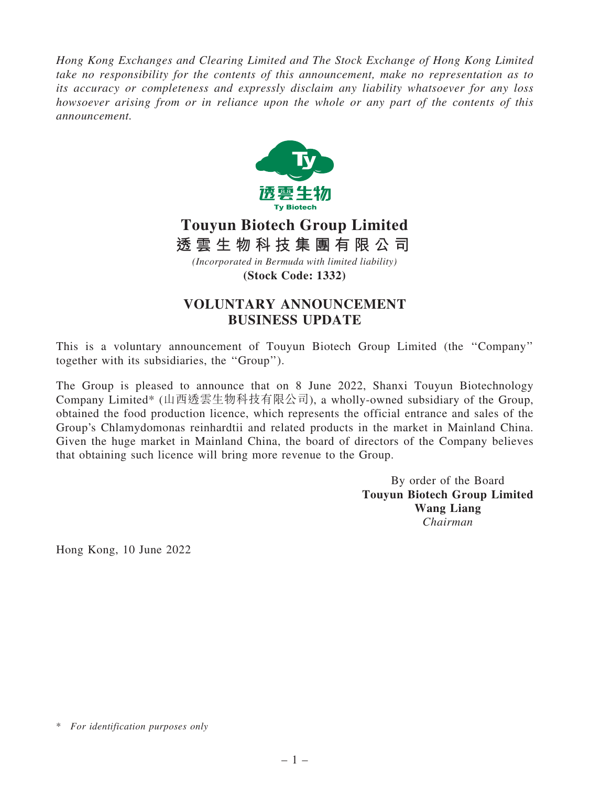Hong Kong Exchanges and Clearing Limited and The Stock Exchange of Hong Kong Limited take no responsibility for the contents of this announcement, make no representation as to its accuracy or completeness and expressly disclaim any liability whatsoever for any loss howsoever arising from or in reliance upon the whole or any part of the contents of this announcement.



## **Touyun Biotech Group Limited**

*(Incorporated in Bermuda with limited liability)* **透 雲 生 物 科 技 集 團 有 限 公 司**

**(Stock Code: 1332)**

## VOLUNTARY ANNOUNCEMENT BUSINESS UPDATE

This is a voluntary announcement of Touyun Biotech Group Limited (the ''Company'' together with its subsidiaries, the ''Group'').

The Group is pleased to announce that on 8 June 2022, Shanxi Touyun Biotechnology Company Limited\* (山西透雲生物科技有限公司), a wholly-owned subsidiary of the Group, obtained the food production licence, which represents the official entrance and sales of the Group's Chlamydomonas reinhardtii and related products in the market in Mainland China. Given the huge market in Mainland China, the board of directors of the Company believes that obtaining such licence will bring more revenue to the Group.

> By order of the Board Touyun Biotech Group Limited Wang Liang Chairman

Hong Kong, 10 June 2022

<sup>\*</sup> For identification purposes only